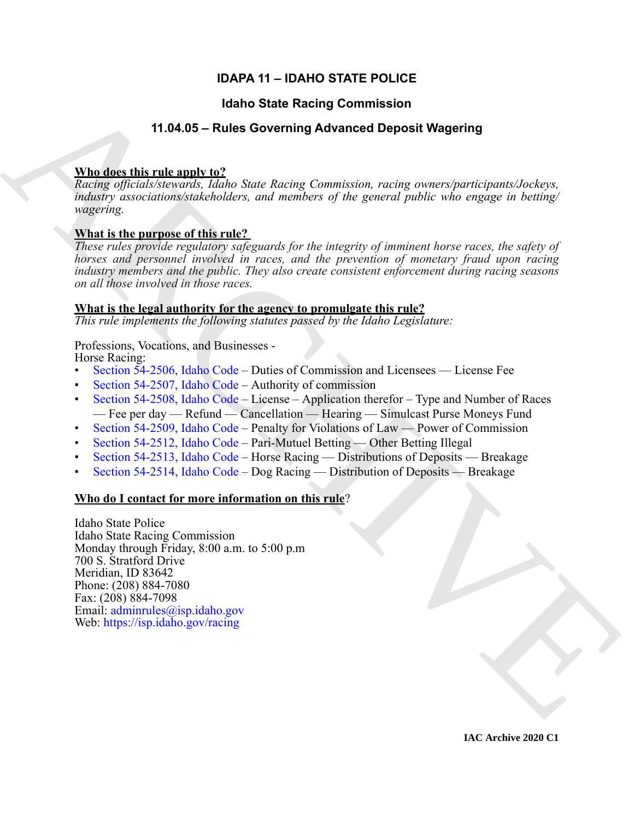# **IDAPA 11 – IDAHO STATE POLICE**

### **Idaho State Racing Commission**

## **11.04.05 – Rules Governing Advanced Deposit Wagering**

### **Who does this rule apply to?**

*Racing officials/stewards, Idaho State Racing Commission, racing owners/participants/Jockeys, industry associations/stakeholders, and members of the general public who engage in betting/ wagering.*

# **What is the purpose of this rule?**

*These rules provide regulatory safeguards for the integrity of imminent horse races, the safety of horses and personnel involved in races, and the prevention of monetary fraud upon racing industry members and the public. They also create consistent enforcement during racing seasons on all those involved in those races.* 

### **What is the legal authority for the agency to promulgate this rule?**

*This rule implements the following statutes passed by the Idaho Legislature:*

### Professions, Vocations, and Businesses -

Horse Racing:

- Section 54-2506, Idaho Code Duties of Commission and Licensees License Fee
- Section 54-2507, Idaho Code Authority of commission
- Section 54-2508, Idaho Code License Application therefor Type and Number of Races — Fee per day — Refund — Cancellation — Hearing — Simulcast Purse Moneys Fund
- Section 54-2509, Idaho Code Penalty for Violations of Law Power of Commission
- Section 54-2512, Idaho Code Pari-Mutuel Betting Other Betting Illegal
- Section 54-2513, Idaho Code Horse Racing Distributions of Deposits Breakage
- Section 54-2514, Idaho Code Dog Racing Distribution of Deposits Breakage

### **Who do I contact for more information on this rule**?

**14.10.6 State Recinq [C](https://legislature.idaho.gov/statutesrules/idstat/Title54/T54CH25/SECT54-2506/)ommission**<br>
14.04.05 - Rules Governing Advanced Deposit Wagering<br>
When describes the interpretation of the state of the system of the system control and the system of the system problem of the syste Idaho State Police Idaho State Racing Commission Monday through Friday, 8:00 a.m. to 5:00 p.m 700 S. Stratford Drive Meridian, ID 83642 Phone: (208) 884-7080 Fax: (208) 884-7098 Email: adminrules@isp.idaho.gov Web: https://isp.idaho.gov/racing

**IAC Archive 2020 C1**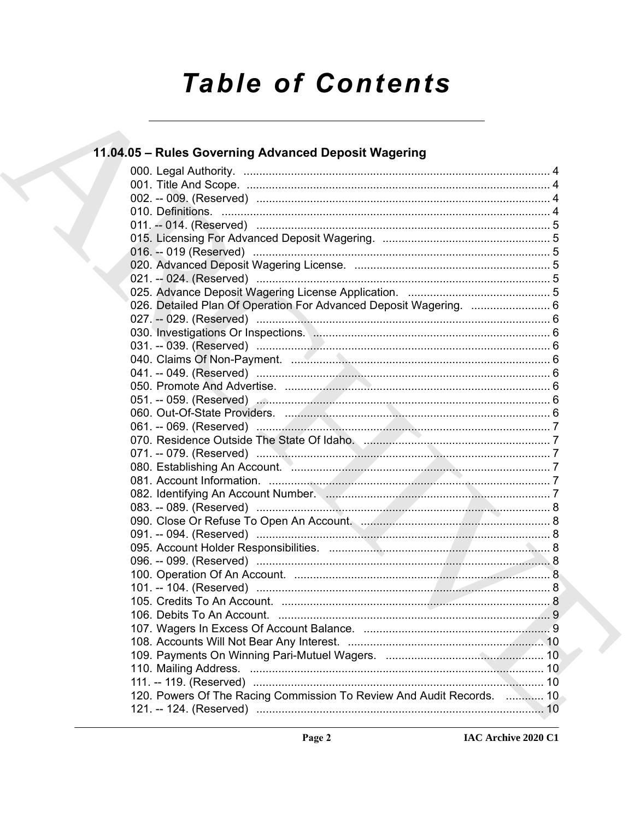# **Table of Contents**

# 11.04.05 - Rules Governing Advanced Deposit Wagering

| 026. Detailed Plan Of Operation For Advanced Deposit Wagering.  6     |  |
|-----------------------------------------------------------------------|--|
|                                                                       |  |
| 030. Investigations Or Inspections. Manufacture and the control of 6  |  |
|                                                                       |  |
|                                                                       |  |
|                                                                       |  |
|                                                                       |  |
|                                                                       |  |
|                                                                       |  |
|                                                                       |  |
|                                                                       |  |
|                                                                       |  |
| 080. Establishing An Account. Manuscritt, Manuscritt, Manuscritt, 7   |  |
|                                                                       |  |
|                                                                       |  |
|                                                                       |  |
|                                                                       |  |
|                                                                       |  |
|                                                                       |  |
|                                                                       |  |
|                                                                       |  |
|                                                                       |  |
|                                                                       |  |
|                                                                       |  |
|                                                                       |  |
|                                                                       |  |
|                                                                       |  |
|                                                                       |  |
|                                                                       |  |
| 120. Powers Of The Racing Commission To Review And Audit Records.  10 |  |
|                                                                       |  |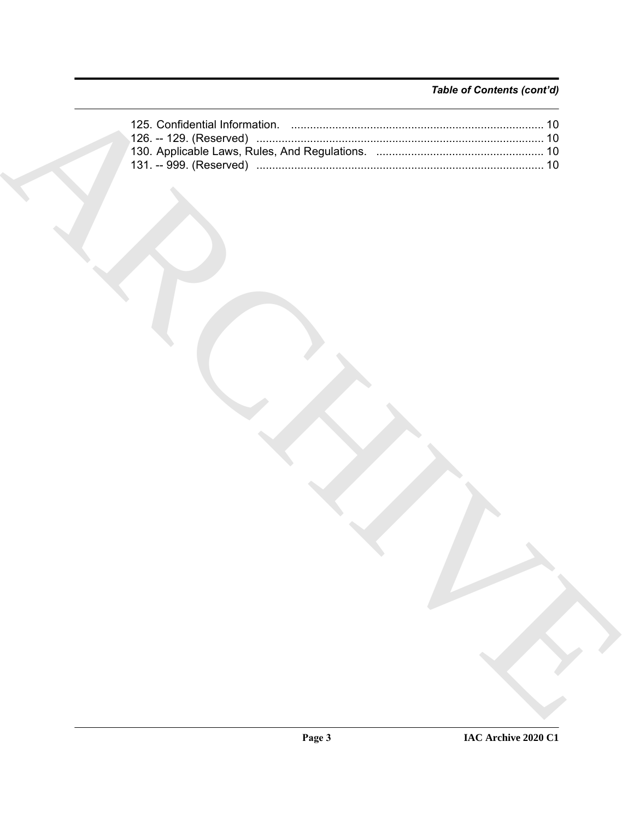# *Table of Contents (cont'd)*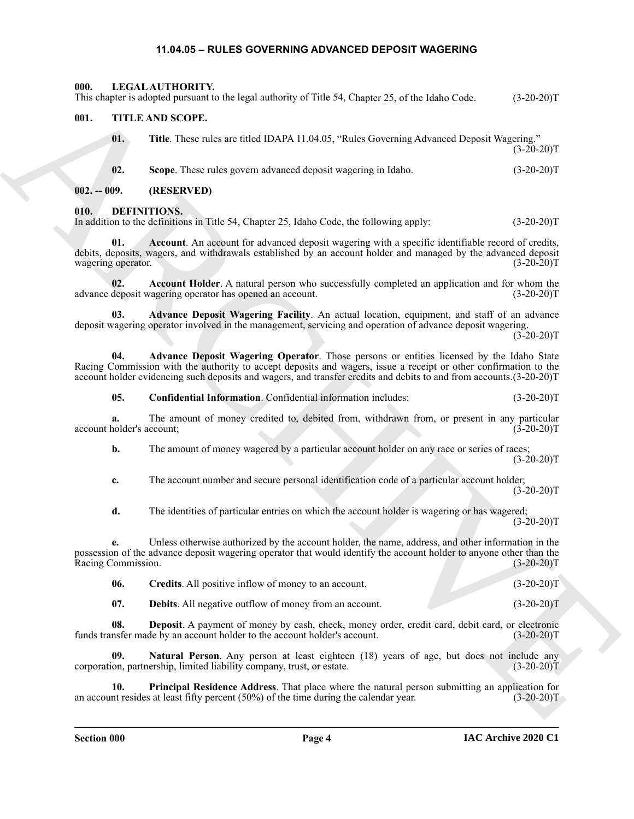#### **11.04.05 – RULES GOVERNING ADVANCED DEPOSIT WAGERING**

<span id="page-3-16"></span><span id="page-3-1"></span><span id="page-3-0"></span>**000. LEGAL AUTHORITY.** This chapter is adopted pursuant to the legal authority of Title 54, Chapter 25, of the Idaho Code. (3-20-20)T

#### <span id="page-3-17"></span><span id="page-3-2"></span>**001. TITLE AND SCOPE.**

|                                 | This chapter is adopted pursuant to the legal authority of Title 54, Chapter 25, of the Idaho Code.                                                                                                                                                                                                                                 | $(3-20-20)T$ |
|---------------------------------|-------------------------------------------------------------------------------------------------------------------------------------------------------------------------------------------------------------------------------------------------------------------------------------------------------------------------------------|--------------|
| 001.                            | TITLE AND SCOPE.                                                                                                                                                                                                                                                                                                                    |              |
| 01.                             | Title. These rules are titled IDAPA 11.04.05, "Rules Governing Advanced Deposit Wagering."                                                                                                                                                                                                                                          | $(3-20-20)T$ |
| 02.                             | Scope. These rules govern advanced deposit wagering in Idaho.                                                                                                                                                                                                                                                                       | $(3-20-20)T$ |
| $002. - 009.$                   | (RESERVED)                                                                                                                                                                                                                                                                                                                          |              |
| 010.                            | DEFINITIONS.<br>In addition to the definitions in Title 54, Chapter 25, Idaho Code, the following apply:                                                                                                                                                                                                                            | $(3-20-20)T$ |
| 01.<br>wagering operator.       | Account. An account for advanced deposit wagering with a specific identifiable record of credits,<br>debits, deposits, wagers, and withdrawals established by an account holder and managed by the advanced deposit                                                                                                                 | $(3-20-20)T$ |
| 02.                             | Account Holder. A natural person who successfully completed an application and for whom the<br>advance deposit wagering operator has opened an account.                                                                                                                                                                             | $(3-20-20)T$ |
| 03.                             | Advance Deposit Wagering Facility. An actual location, equipment, and staff of an advance<br>deposit wagering operator involved in the management, servicing and operation of advance deposit wagering.                                                                                                                             | $(3-20-20)T$ |
| 04.                             | Advance Deposit Wagering Operator. Those persons or entities licensed by the Idaho State<br>Racing Commission with the authority to accept deposits and wagers, issue a receipt or other confirmation to the<br>account holder evidencing such deposits and wagers, and transfer credits and debits to and from accounts.(3-20-20)T |              |
| 05.                             | Confidential Information. Confidential information includes:                                                                                                                                                                                                                                                                        | $(3-20-20)T$ |
| a.<br>account holder's account; | The amount of money credited to, debited from, withdrawn from, or present in any particular                                                                                                                                                                                                                                         | $(3-20-20)T$ |
| b.                              | The amount of money wagered by a particular account holder on any race or series of races;                                                                                                                                                                                                                                          | $(3-20-20)T$ |
| c.                              | The account number and secure personal identification code of a particular account holder;                                                                                                                                                                                                                                          | $(3-20-20)T$ |
| d.                              | The identities of particular entries on which the account holder is wagering or has wagered;                                                                                                                                                                                                                                        | $(3-20-20)T$ |
| е.<br>Racing Commission.        | Unless otherwise authorized by the account holder, the name, address, and other information in the<br>possession of the advance deposit wagering operator that would identify the account holder to anyone other than the                                                                                                           | $(3-20-20)T$ |
| 06.                             | Credits. All positive inflow of money to an account.                                                                                                                                                                                                                                                                                | $(3-20-20)T$ |
| 07.                             | <b>Debits.</b> All negative outflow of money from an account.                                                                                                                                                                                                                                                                       | $(3-20-20)T$ |
| 08.                             | Deposit. A payment of money by cash, check, money order, credit card, debit card, or electronic<br>funds transfer made by an account holder to the account holder's account.                                                                                                                                                        | $(3-20-20)T$ |
| 09.                             | Natural Person. Any person at least eighteen (18) years of age, but does not include any<br>corporation, partnership, limited liability company, trust, or estate.                                                                                                                                                                  | $(3-20-20)T$ |
| 10.                             | Principal Residence Address. That place where the natural person submitting an application for<br>an account resides at least fifty percent $(50%)$ of the time during the calendar year.                                                                                                                                           | $(3-20-20)T$ |
|                                 |                                                                                                                                                                                                                                                                                                                                     |              |

#### <span id="page-3-10"></span><span id="page-3-9"></span><span id="page-3-8"></span><span id="page-3-7"></span><span id="page-3-6"></span><span id="page-3-5"></span><span id="page-3-4"></span><span id="page-3-3"></span>**010. DEFINITIONS.**

<span id="page-3-15"></span><span id="page-3-14"></span><span id="page-3-13"></span><span id="page-3-12"></span><span id="page-3-11"></span>

| -06. | <b>Credits.</b> All positive inflow of money to an account. |  |  |  | $(3-20-20)T$ |
|------|-------------------------------------------------------------|--|--|--|--------------|
|      |                                                             |  |  |  |              |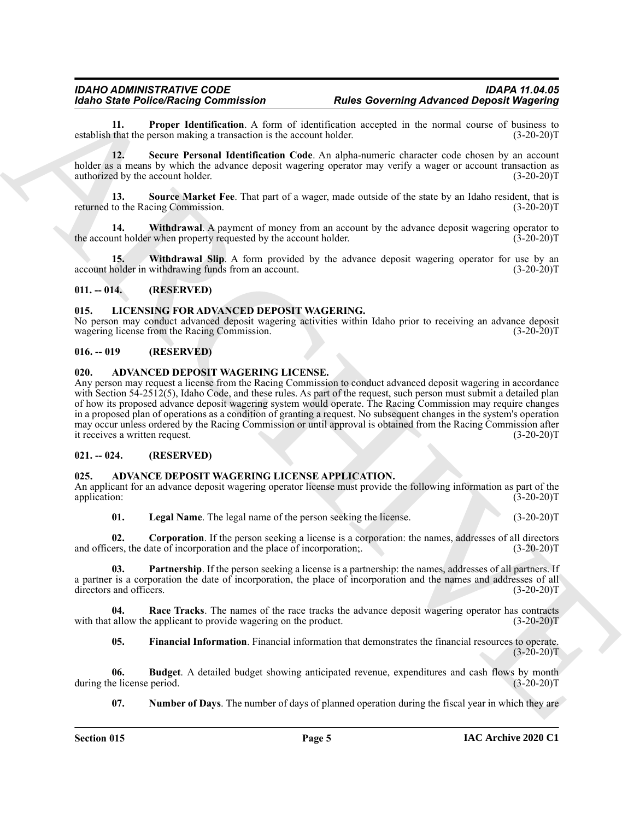<span id="page-4-15"></span>**11. Proper Identification**. A form of identification accepted in the normal course of business to that the person making a transaction is the account holder. (3-20-20)<sup>T</sup> establish that the person making a transaction is the account holder.

<span id="page-4-16"></span>**12. Secure Personal Identification Code**. An alpha-numeric character code chosen by an account holder as a means by which the advance deposit wagering operator may verify a wager or account transaction as authorized by the account holder. (3-20-20)T

<span id="page-4-17"></span>**13. Source Market Fee**. That part of a wager, made outside of the state by an Idaho resident, that is returned to the Racing Commission. (3-20-20)T

<span id="page-4-18"></span>**14. Withdrawal**. A payment of money from an account by the advance deposit wagering operator to unt holder when property requested by the account holder. (3-20-20)<sup>T</sup> the account holder when property requested by the account holder.

<span id="page-4-19"></span>**Withdrawal Slip.** A form provided by the advance deposit wagering operator for use by an account holder in withdrawing funds from an account. (3-20-20)T

#### <span id="page-4-0"></span>**011. -- 014. (RESERVED)**

#### <span id="page-4-20"></span><span id="page-4-1"></span>**015. LICENSING FOR ADVANCED DEPOSIT WAGERING.**

No person may conduct advanced deposit wagering activities within Idaho prior to receiving an advance deposit wagering license from the Racing Commission. (3-20-20)T

#### <span id="page-4-2"></span>**016. -- 019 (RESERVED)**

#### <span id="page-4-14"></span><span id="page-4-3"></span>**020. ADVANCED DEPOSIT WAGERING LICENSE.**

**Example Perfect Prime Towards Constraints A** learn of the<br>shall not maximal constraint of the same of the same of the same of the same of the<br>same of the same of the same of the same of the same of the same of the<br>same Any person may request a license from the Racing Commission to conduct advanced deposit wagering in accordance with Section 54-2512(5), Idaho Code, and these rules. As part of the request, such person must submit a detailed plan of how its proposed advance deposit wagering system would operate. The Racing Commission may require changes in a proposed plan of operations as a condition of granting a request. No subsequent changes in the system's operation may occur unless ordered by the Racing Commission or until approval is obtained from the Racing Commission after<br>it receives a written request. (3-20-20) it receives a written request.

#### <span id="page-4-4"></span>**021. -- 024. (RESERVED)**

#### <span id="page-4-6"></span><span id="page-4-5"></span>**025. ADVANCE DEPOSIT WAGERING LICENSE APPLICATION.**

An applicant for an advance deposit wagering operator license must provide the following information as part of the application: (3-20-20) application: (3-20-20)T

<span id="page-4-12"></span><span id="page-4-10"></span><span id="page-4-8"></span>**01. Legal Name**. The legal name of the person seeking the license. (3-20-20)T

**02. Corporation**. If the person seeking a license is a corporation: the names, addresses of all directors and officers, the date of incorporation and the place of incorporation;. (3-20-20)T

**03. Partnership**. If the person seeking a license is a partnership: the names, addresses of all partners. If a partner is a corporation the date of incorporation, the place of incorporation and the names and addresses of all directors and officers. (3-20-20) directors and officers.

**04. Race Tracks**. The names of the race tracks the advance deposit wagering operator has contracts with that allow the applicant to provide wagering on the product. (3-20-20)T

<span id="page-4-13"></span><span id="page-4-9"></span><span id="page-4-7"></span>**05. Financial Information**. Financial information that demonstrates the financial resources to operate.  $(3-20-20)T$ 

**06. Budget**. A detailed budget showing anticipated revenue, expenditures and cash flows by month during the license period.

<span id="page-4-11"></span>**07.** Number of Days. The number of days of planned operation during the fiscal year in which they are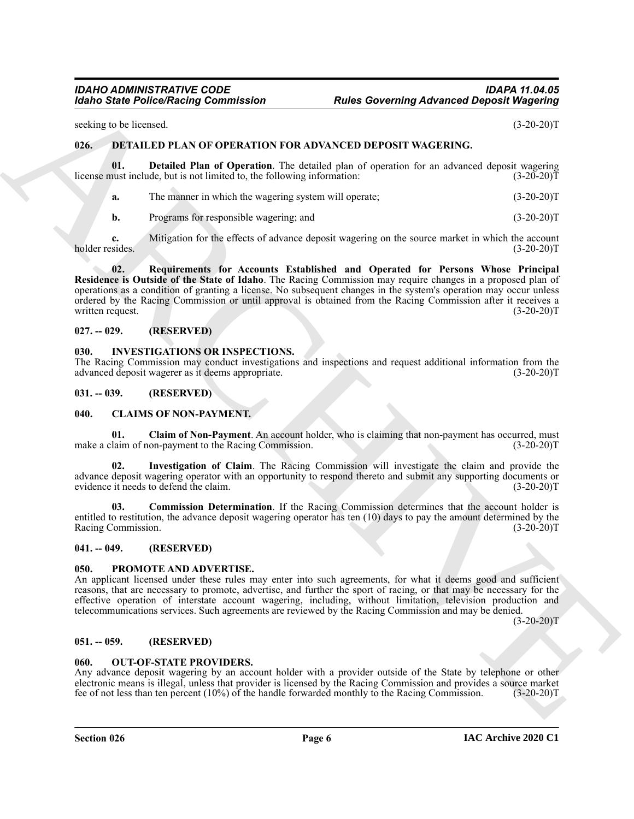#### *IDAHO ADMINISTRATIVE CODE IDAPA 11.04.05 Idaho State Police/Racing Commission Rules Governing Advanced Deposit Wagering*

seeking to be licensed. (3-20-20)T

#### <span id="page-5-0"></span>**026. DETAILED PLAN OF OPERATION FOR ADVANCED DEPOSIT WAGERING.**

**01. Detailed Plan of Operation**. The detailed plan of operation for an advanced deposit wagering license must include, but is not limited to, the following information: (3-20-20)T

<span id="page-5-12"></span>

|  | The manner in which the wagering system will operate; | $(3-20-20)T$ |
|--|-------------------------------------------------------|--------------|
|--|-------------------------------------------------------|--------------|

<span id="page-5-13"></span>**b.** Programs for responsible wagering; and (3-20-20)T

**c.** Mitigation for the effects of advance deposit wagering on the source market in which the account sides. (3-20-20) holder resides.

For the Police Poisson Franchises Franchises Franchises Franchises Franchises (3-20-2017<br>
Scaling to the San Monda Computer Scaling Transfer and the poisson of the poisson of the same of the same of the poisson of the sam **02. Requirements for Accounts Established and Operated for Persons Whose Principal Residence is Outside of the State of Idaho**. The Racing Commission may require changes in a proposed plan of operations as a condition of granting a license. No subsequent changes in the system's operation may occur unless ordered by the Racing Commission or until approval is obtained from the Racing Commission after it receives a written request. (3-20-20)T

#### <span id="page-5-1"></span>**027. -- 029. (RESERVED)**

#### <span id="page-5-14"></span><span id="page-5-2"></span>**030. INVESTIGATIONS OR INSPECTIONS.**

The Racing Commission may conduct investigations and inspections and request additional information from the advanced deposit wagerer as it deems appropriate. (3-20-20)T

#### <span id="page-5-3"></span>**031. -- 039. (RESERVED)**

#### <span id="page-5-4"></span>**040. CLAIMS OF NON-PAYMENT.**

<span id="page-5-9"></span>**01. Claim of Non-Payment**. An account holder, who is claiming that non-payment has occurred, must make a claim of non-payment to the Racing Commission. (3-20-20)T

<span id="page-5-11"></span>**02. Investigation of Claim**. The Racing Commission will investigate the claim and provide the advance deposit wagering operator with an opportunity to respond thereto and submit any supporting documents or evidence it needs to defend the claim. (3-20-20)T

<span id="page-5-10"></span>**03. Commission Determination**. If the Racing Commission determines that the account holder is entitled to restitution, the advance deposit wagering operator has ten (10) days to pay the amount determined by the Racing Commission. (3-20-20)T Racing Commission.

#### <span id="page-5-5"></span>**041. -- 049. (RESERVED)**

#### <span id="page-5-16"></span><span id="page-5-6"></span>**050. PROMOTE AND ADVERTISE.**

An applicant licensed under these rules may enter into such agreements, for what it deems good and sufficient reasons, that are necessary to promote, advertise, and further the sport of racing, or that may be necessary for the effective operation of interstate account wagering, including, without limitation, television production and telecommunications services. Such agreements are reviewed by the Racing Commission and may be denied.

 $(3-20-20)T$ 

#### <span id="page-5-7"></span>**051. -- 059. (RESERVED)**

#### <span id="page-5-15"></span><span id="page-5-8"></span>**060. OUT-OF-STATE PROVIDERS.**

Any advance deposit wagering by an account holder with a provider outside of the State by telephone or other electronic means is illegal, unless that provider is licensed by the Racing Commission and provides a source market fee of not less than ten percent (10%) of the handle forwarded monthly to the Racing Commission. (3-20-20)T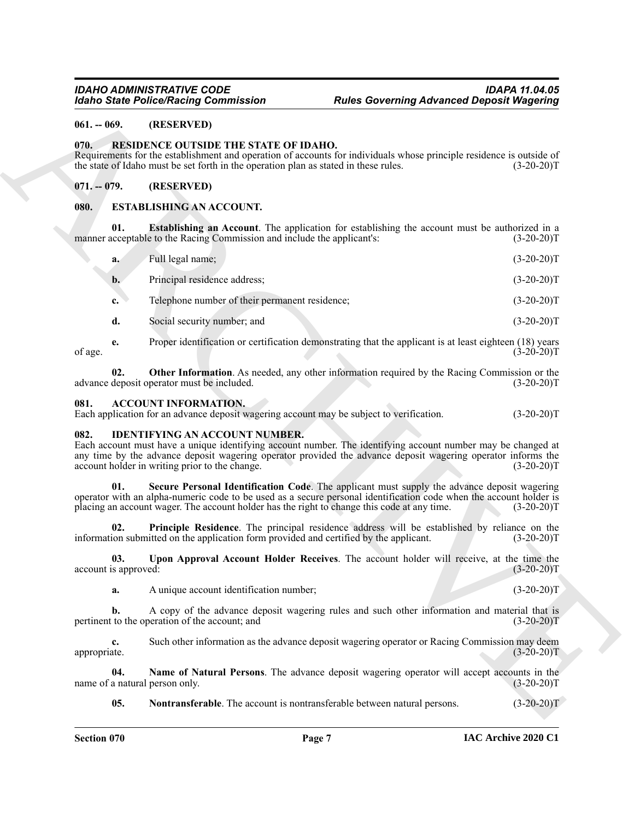#### <span id="page-6-0"></span>**061. -- 069. (RESERVED)**

#### <span id="page-6-14"></span><span id="page-6-1"></span>**070. RESIDENCE OUTSIDE THE STATE OF IDAHO.**

#### <span id="page-6-2"></span>**071. -- 079. (RESERVED)**

#### <span id="page-6-7"></span><span id="page-6-3"></span>**080. ESTABLISHING AN ACCOUNT.**

|                                         |                             | <b>Idaho State Police/Racing Commission</b>                                                                                   | <b>Rules Governing Advanced Deposit Wagering</b>                                                                                                                                                                             |              |
|-----------------------------------------|-----------------------------|-------------------------------------------------------------------------------------------------------------------------------|------------------------------------------------------------------------------------------------------------------------------------------------------------------------------------------------------------------------------|--------------|
| $061. - 069.$                           |                             | (RESERVED)                                                                                                                    |                                                                                                                                                                                                                              |              |
| 070.                                    |                             | RESIDENCE OUTSIDE THE STATE OF IDAHO.<br>the state of Idaho must be set forth in the operation plan as stated in these rules. | Requirements for the establishment and operation of accounts for individuals whose principle residence is outside of                                                                                                         | $(3-20-20)T$ |
| $071. - 079.$                           |                             | (RESERVED)                                                                                                                    |                                                                                                                                                                                                                              |              |
| <b>ESTABLISHING AN ACCOUNT.</b><br>080. |                             |                                                                                                                               |                                                                                                                                                                                                                              |              |
|                                         | 01.                         | manner acceptable to the Racing Commission and include the applicant's:                                                       | <b>Establishing an Account.</b> The application for establishing the account must be authorized in a                                                                                                                         | $(3-20-20)T$ |
|                                         | a.                          | Full legal name;                                                                                                              |                                                                                                                                                                                                                              | $(3-20-20)T$ |
|                                         | b.                          | Principal residence address;                                                                                                  |                                                                                                                                                                                                                              | $(3-20-20)T$ |
|                                         | c.                          | Telephone number of their permanent residence;                                                                                |                                                                                                                                                                                                                              | $(3-20-20)T$ |
|                                         | d.                          | Social security number; and                                                                                                   |                                                                                                                                                                                                                              | $(3-20-20)T$ |
| of age.                                 | e.                          |                                                                                                                               | Proper identification or certification demonstrating that the applicant is at least eighteen (18) years                                                                                                                      | $(3-20-20)T$ |
|                                         | 02.                         | advance deposit operator must be included.                                                                                    | Other Information. As needed, any other information required by the Racing Commission or the                                                                                                                                 | $(3-20-20)T$ |
| 081.                                    |                             | <b>ACCOUNT INFORMATION.</b><br>Each application for an advance deposit wagering account may be subject to verification.       |                                                                                                                                                                                                                              | $(3-20-20)T$ |
| 082.                                    |                             | <b>IDENTIFYING AN ACCOUNT NUMBER.</b><br>account holder in writing prior to the change.                                       | Each account must have a unique identifying account number. The identifying account number may be changed at<br>any time by the advance deposit wagering operator provided the advance deposit wagering operator informs the | $(3-20-20)T$ |
|                                         | 01.                         | placing an account wager. The account holder has the right to change this code at any time.                                   | Secure Personal Identification Code. The applicant must supply the advance deposit wagering<br>operator with an alpha-numeric code to be used as a secure personal identification code when the account holder is            | $(3-20-20)T$ |
|                                         | 02.                         | information submitted on the application form provided and certified by the applicant.                                        | Principle Residence. The principal residence address will be established by reliance on the                                                                                                                                  | $(3-20-20)T$ |
|                                         | 03.<br>account is approved: |                                                                                                                               | Upon Approval Account Holder Receives. The account holder will receive, at the time the                                                                                                                                      | $(3-20-20)T$ |
|                                         | a.                          | A unique account identification number;                                                                                       |                                                                                                                                                                                                                              | $(3-20-20)T$ |
|                                         | b.                          | pertinent to the operation of the account; and                                                                                | A copy of the advance deposit wagering rules and such other information and material that is                                                                                                                                 | $(3-20-20)T$ |
| appropriate.                            | c.                          |                                                                                                                               | Such other information as the advance deposit wagering operator or Racing Commission may deem                                                                                                                                | $(3-20-20)T$ |
|                                         | 04.                         | name of a natural person only.                                                                                                | Name of Natural Persons. The advance deposit wagering operator will accept accounts in the                                                                                                                                   | $(3-20-20)T$ |
|                                         | 05.                         | Nontransferable. The account is nontransferable between natural persons.                                                      |                                                                                                                                                                                                                              | $(3-20-20)T$ |

#### <span id="page-6-8"></span><span id="page-6-6"></span><span id="page-6-4"></span>**081. ACCOUNT INFORMATION.**

#### <span id="page-6-13"></span><span id="page-6-12"></span><span id="page-6-11"></span><span id="page-6-10"></span><span id="page-6-9"></span><span id="page-6-5"></span>**082. IDENTIFYING AN ACCOUNT NUMBER.**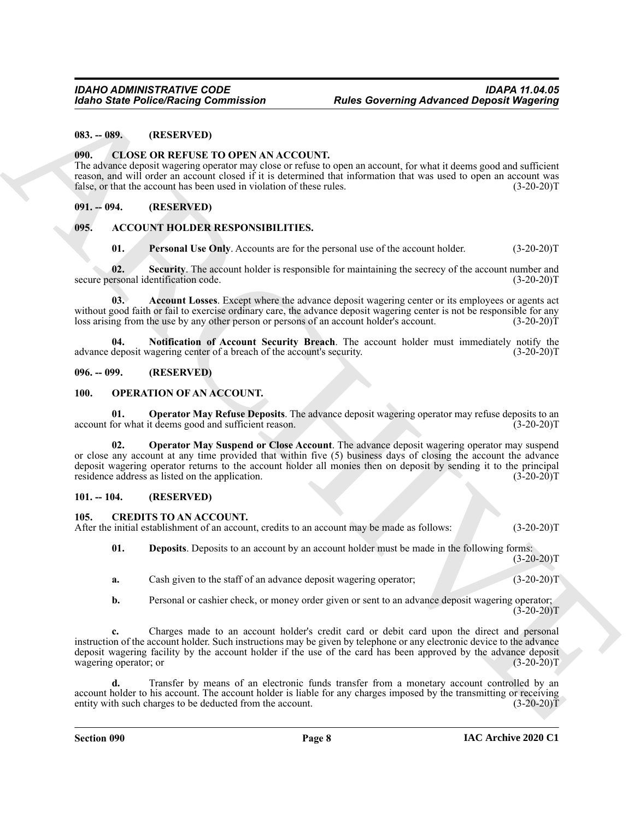#### <span id="page-7-0"></span>**083. -- 089. (RESERVED)**

#### <span id="page-7-12"></span><span id="page-7-1"></span>**090. CLOSE OR REFUSE TO OPEN AN ACCOUNT.**

The advance deposit wagering operator may close or refuse to open an account, for what it deems good and sufficient reason, and will order an account closed if it is determined that information that was used to open an account was false, or that the account has been used in violation of these rules. (3-20-20) false, or that the account has been used in violation of these rules.

#### <span id="page-7-2"></span>**091. -- 094. (RESERVED)**

#### <span id="page-7-3"></span>**095. ACCOUNT HOLDER RESPONSIBILITIES.**

<span id="page-7-11"></span><span id="page-7-10"></span><span id="page-7-8"></span>**01. Personal Use Only.** Accounts are for the personal use of the account holder. (3-20-20)T

**02.** Security. The account holder is responsible for maintaining the secrecy of the account number and ersonal identification code.  $(3-20-20)T$ secure personal identification code.

**03. Account Losses**. Except where the advance deposit wagering center or its employees or agents act without good faith or fail to exercise ordinary care, the advance deposit wagering center is not be responsible for any loss arising from the use by any other person or persons of an account holder's account. (3-20-20)T loss arising from the use by any other person or persons of an account holder's account.

<span id="page-7-9"></span>**04.** Notification of Account Security Breach. The account holder must immediately notify the deposit wagering center of a breach of the account's security. (3-20-20)<sup>T</sup> advance deposit wagering center of a breach of the account's security.

#### <span id="page-7-4"></span>**096. -- 099. (RESERVED)**

#### <span id="page-7-14"></span><span id="page-7-5"></span>**100. OPERATION OF AN ACCOUNT.**

<span id="page-7-15"></span>**01. Operator May Refuse Deposits**. The advance deposit wagering operator may refuse deposits to an account for what it deems good and sufficient reason. (3-20-20)T

**Extra Police Numering Commutation**<br> **Extra Convention Constraints and the Convention Constraints and the Convention Convention Convention Convention Convention Convention Convention Convention Convention Convention Conv 02. Operator May Suspend or Close Account**. The advance deposit wagering operator may suspend or close any account at any time provided that within five (5) business days of closing the account the advance deposit wagering operator returns to the account holder all monies then on deposit by sending it to the principal residence address as listed on the application. (3-20-20) residence address as listed on the application.

#### <span id="page-7-6"></span>**101. -- 104. (RESERVED)**

<span id="page-7-7"></span>**105. CREDITS TO AN ACCOUNT.** After the initial establishment of an account, credits to an account may be made as follows: (3-20-20) (3-20-20)

<span id="page-7-13"></span>**01. Deposits**. Deposits to an account by an account holder must be made in the following forms:  $(3-20-20)T$ 

- **a.** Cash given to the staff of an advance deposit wagering operator;  $(3-20-20)T$
- **b.** Personal or cashier check, or money order given or sent to an advance deposit wagering operator;  $(3-20-20)T$

**c.** Charges made to an account holder's credit card or debit card upon the direct and personal instruction of the account holder. Such instructions may be given by telephone or any electronic device to the advance deposit wagering facility by the account holder if the use of the card has been approved by the advance deposit wagering operator; or (3-20-20)T

**d.** Transfer by means of an electronic funds transfer from a monetary account controlled by an account holder to his account. The account holder is liable for any charges imposed by the transmitting or receiving entity with such charges to be deducted from the account. (3-20-20)T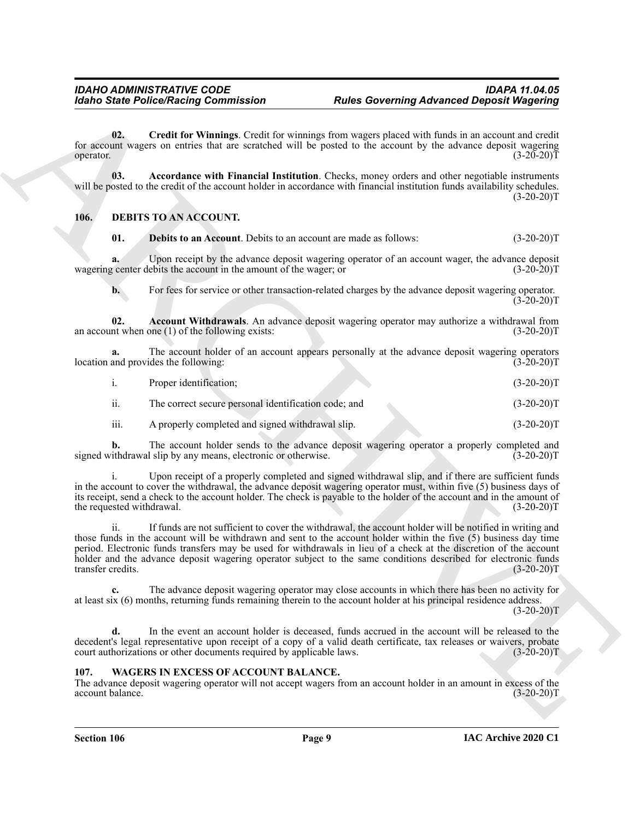<span id="page-8-3"></span>**02. Credit for Winnings**. Credit for winnings from wagers placed with funds in an account and credit for account wagers on entries that are scratched will be posted to the account by the advance deposit wagering operator. (3-20-20) operator.  $(3-20-20)T$ 

<span id="page-8-2"></span>**03. Accordance with Financial Institution**. Checks, money orders and other negotiable instruments will be posted to the credit of the account holder in accordance with financial institution funds availability schedules.  $(3-20-20)T$ 

#### <span id="page-8-0"></span>**106. DEBITS TO AN ACCOUNT.**

<span id="page-8-5"></span>**01. Debits to an Account**. Debits to an account are made as follows: (3-20-20)T

**a.** Upon receipt by the advance deposit wagering operator of an account wager, the advance deposit wagering center debits the account in the amount of the wager; or  $(3{\text -}20{\text -}20)$ T

<span id="page-8-4"></span>**b.** For fees for service or other transaction-related charges by the advance deposit wagering operator.  $(3-20-20)$ T

**02.** Account Withdrawals. An advance deposit wagering operator may authorize a withdrawal from nt when one (1) of the following exists: (3-20-20) an account when one  $(1)$  of the following exists:

**a.** The account holder of an account appears personally at the advance deposit wagering operators location and provides the following: (3-20-20)T

| $\overline{1}$ . | Proper identification;                               | $(3-20-20)T$ |
|------------------|------------------------------------------------------|--------------|
| ii.              | The correct secure personal identification code; and | $(3-20-20)T$ |
| iii.             | A properly completed and signed withdrawal slip.     | $(3-20-20)T$ |

**b.** The account holder sends to the advance deposit wagering operator a properly completed and signed withdrawal slip by any means, electronic or otherwise. (3-20-20)T

i. Upon receipt of a properly completed and signed withdrawal slip, and if there are sufficient funds in the account to cover the withdrawal, the advance deposit wagering operator must, within five (5) business days of its receipt, send a check to the account holder. The check is payable to the holder of the account and in the amount of the requested withdrawal. (3-20-20)T

For the Police Poisson Commutation<br>
Contact Police Chirac Contents and The State Contents and the State Chirac Chirac Chirac Chirac Chirac Chirac Chirac Chirac Chirac Chirac Chirac Chirac Chirac Chirac Chirac Chirac Chira ii. If funds are not sufficient to cover the withdrawal, the account holder will be notified in writing and those funds in the account will be withdrawn and sent to the account holder within the five (5) business day time period. Electronic funds transfers may be used for withdrawals in lieu of a check at the discretion of the account holder and the advance deposit wagering operator subject to the same conditions described for electronic funds transfer credits. (3-20-20) transfer credits.

**c.** The advance deposit wagering operator may close accounts in which there has been no activity for at least six (6) months, returning funds remaining therein to the account holder at his principal residence address.

 $(3-20-20)$ T

**d.** In the event an account holder is deceased, funds accrued in the account will be released to the decedent's legal representative upon receipt of a copy of a valid death certificate, tax releases or waivers, probate court authorizations or other documents required by applicable laws. (3-20-20)T

#### <span id="page-8-6"></span><span id="page-8-1"></span>**107. WAGERS IN EXCESS OF ACCOUNT BALANCE.**

The advance deposit wagering operator will not accept wagers from an account holder in an amount in excess of the account balance. (3-20-20)T account balance.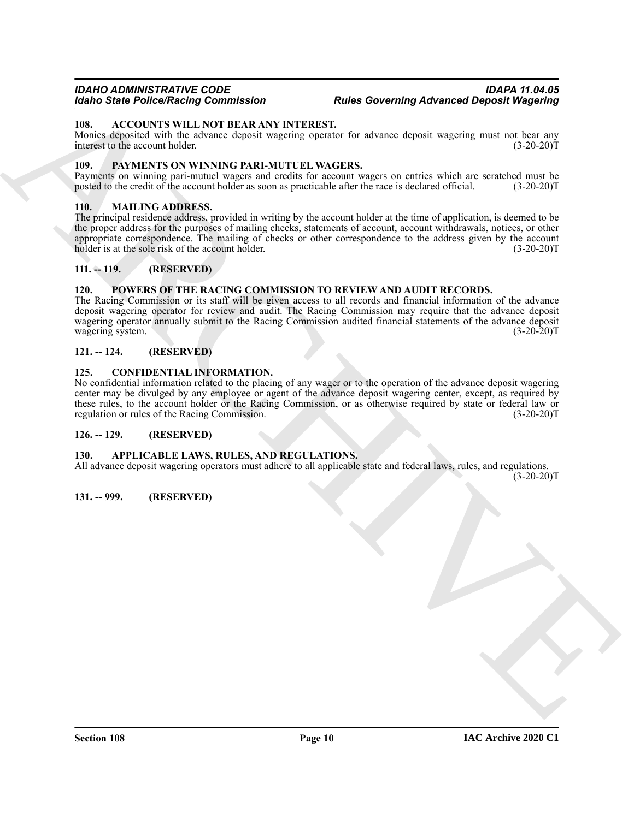#### *IDAHO ADMINISTRATIVE CODE IDAPA 11.04.05 Idaho State Police/Racing Commission Rules Governing Advanced Deposit Wagering*

#### <span id="page-9-10"></span><span id="page-9-0"></span>**108. ACCOUNTS WILL NOT BEAR ANY INTEREST.**

Monies deposited with the advance deposit wagering operator for advance deposit wagering must not bear any interest to the account holder. (3-20-20)T

#### <span id="page-9-14"></span><span id="page-9-1"></span>**109. PAYMENTS ON WINNING PARI-MUTUEL WAGERS.**

Payments on winning pari-mutuel wagers and credits for account wagers on entries which are scratched must be posted to the credit of the account holder as soon as practicable after the race is declared official. (3-20-20)T posted to the credit of the account holder as soon as practicable after the race is declared official.

#### <span id="page-9-13"></span><span id="page-9-2"></span>**110. MAILING ADDRESS.**

For Since Poinces Characterization of the Marchives Characterization of the state of the state of the state of the state of the state of the state of the state of the state of the state of the state of the state of the st The principal residence address, provided in writing by the account holder at the time of application, is deemed to be the proper address for the purposes of mailing checks, statements of account, account withdrawals, notices, or other appropriate correspondence. The mailing of checks or other correspondence to the address given by the account holder is at the sole risk of the account holder. (3-20-20) holder is at the sole risk of the account holder.

#### <span id="page-9-3"></span>**111. -- 119. (RESERVED)**

#### <span id="page-9-15"></span><span id="page-9-4"></span>**120. POWERS OF THE RACING COMMISSION TO REVIEW AND AUDIT RECORDS.**

The Racing Commission or its staff will be given access to all records and financial information of the advance deposit wagering operator for review and audit. The Racing Commission may require that the advance deposit wagering operator annually submit to the Racing Commission audited financial statements of the advance deposit wagering system. (3-20-20)T

#### <span id="page-9-5"></span>**121. -- 124. (RESERVED)**

#### <span id="page-9-12"></span><span id="page-9-6"></span>**125. CONFIDENTIAL INFORMATION.**

No confidential information related to the placing of any wager or to the operation of the advance deposit wagering center may be divulged by any employee or agent of the advance deposit wagering center, except, as required by these rules, to the account holder or the Racing Commission, or as otherwise required by state or federal law or regulation or rules of the Racing Commission. (3-20-20)T

#### <span id="page-9-7"></span>**126. -- 129. (RESERVED)**

#### <span id="page-9-11"></span><span id="page-9-8"></span>**130. APPLICABLE LAWS, RULES, AND REGULATIONS.**

All advance deposit wagering operators must adhere to all applicable state and federal laws, rules, and regulations.  $(3-20-20)T$ 

<span id="page-9-9"></span>**131. -- 999. (RESERVED)**